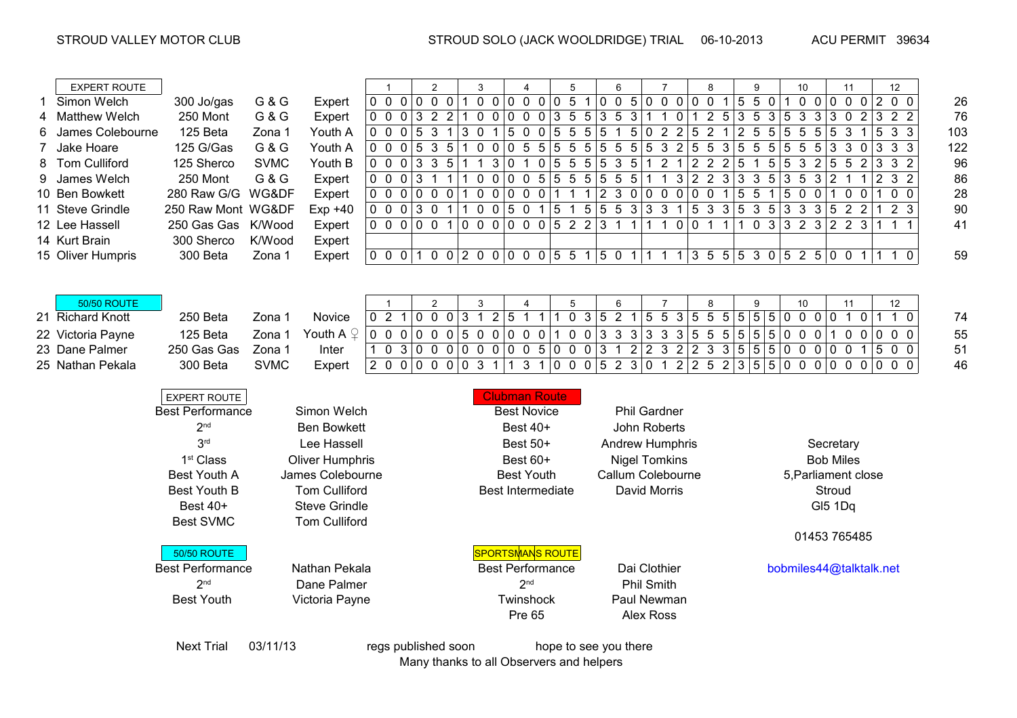|   | <b>EXPERT ROUTE</b>  | $\mathbf{1}$                                |                  |                        | $\overline{2}$                                           |                                                                           | 3 |                  | 4            |                                                              |  | 5               |                          | 6 |                       |                                   | $\overline{7}$ |  | 8                 |                | 9                |                                                              |                         | 10           |                 | 11 |                 |              | 12 <sup>°</sup>                     |  |                                                                            |    |     |  |
|---|----------------------|---------------------------------------------|------------------|------------------------|----------------------------------------------------------|---------------------------------------------------------------------------|---|------------------|--------------|--------------------------------------------------------------|--|-----------------|--------------------------|---|-----------------------|-----------------------------------|----------------|--|-------------------|----------------|------------------|--------------------------------------------------------------|-------------------------|--------------|-----------------|----|-----------------|--------------|-------------------------------------|--|----------------------------------------------------------------------------|----|-----|--|
|   | Simon Welch          | 300 Jo/gas                                  | G & G            | Expert                 |                                                          | 0 0 0 0 0 0                                                               |   |                  | $\mathbf{1}$ | $0$ 0 0 0 0 0 0 5 1 0 0 5 0 0 0 0 0 0 1 5 5 0                |  |                 |                          |   |                       |                                   |                |  |                   |                |                  |                                                              |                         |              |                 |    |                 |              |                                     |  | 100000200                                                                  |    | 26  |  |
| 4 | <b>Matthew Welch</b> | 250 Mont                                    | <b>G &amp; G</b> | Expert                 |                                                          | 0 0 0 3 2 2 1 0 0 0 0 0 3 5 5 3 5 3 1 1 0 1 2 5 3 5 3 5 3 5 3 6 2 3 2 2   |   |                  |              |                                                              |  |                 |                          |   |                       |                                   |                |  |                   |                |                  |                                                              |                         |              |                 |    |                 |              |                                     |  |                                                                            |    | 76  |  |
|   | James Colebourne     | 125 Beta                                    | Zona 1           | Youth A                |                                                          | $0 \t0 \t0 \t0 \t5 \t3 \t1$                                               |   |                  |              | 3 <sub>0</sub><br>$\overline{1}$                             |  |                 |                          |   |                       |                                   |                |  |                   |                |                  |                                                              |                         |              |                 |    |                 |              |                                     |  | $ 5\;0\;0 5\;5\;5 5\;1\;5 0\;2\;2 5\;2\;1 2\;5\;5 5\;5\;5 5\;3\;1 5\;3\;3$ |    | 103 |  |
|   | Jake Hoare           | 125 G/Gas                                   | G & G            | Youth A                |                                                          | $0 \t0 \t0 \t 5 \t3 \t5$                                                  |   |                  |              | $1\ 0\ 0\ 0\ 5\ 5\ 5\ 5\ 5\ 5\ 5\ 5\ 6\ 3\ 2\ 5\ 5\ 3\ 5\ 5$ |  |                 |                          |   |                       |                                   |                |  |                   |                |                  |                                                              |                         |              |                 |    |                 |              |                                     |  | $5 5\;5\;5 3\;3\;0 3\;3\;3$                                                |    | 122 |  |
| 8 | <b>Tom Culliford</b> | 125 Sherco                                  | <b>SVMC</b>      | Youth B                |                                                          | $0 \t0 \t0 \t3 \t3 \t5$                                                   |   |                  | $\mathbf{1}$ | $\overline{1}$                                               |  |                 |                          |   |                       |                                   |                |  |                   |                |                  | $3 0 \t1 \t0  5 \t5 \t5  5 \t3 \t5  1 \t2 \t1  2 \t2 \t2  5$ |                         | $\mathbf{1}$ | 5 5             |    | $\mathbf{3}$    |              |                                     |  | 2 5 5 2 3 3 2                                                              |    | 96  |  |
| 9 | James Welch          | 250 Mont                                    | <b>G&amp;G</b>   | Expert                 |                                                          | $0 \t0 \t0 \t3 \t1$                                                       |   | $\left  \right $ |              | 100005555555                                                 |  |                 |                          |   |                       |                                   |                |  | $5 1 \; 1$        |                |                  | 3 223                                                        |                         |              | $3 \t3 \t5 \t3$ |    | $5\overline{)}$ |              | $3 2 \t1 \t1$                       |  | 2 3 2                                                                      |    | 86  |  |
|   | 10 Ben Bowkett       | 280 Raw G/G WG&DF                           |                  | Expert                 |                                                          | 0 0 0 0 0 0                                                               |   |                  |              | 1000001111230000001                                          |  |                 |                          |   |                       |                                   |                |  |                   |                |                  |                                                              |                         | 5 5          | $\overline{1}$  |    | 5 0 0           | $\mathbf{1}$ |                                     |  | $0$ 0 1 0 0                                                                |    | 28  |  |
|   | 11 Steve Grindle     | 250 Raw Mont WG&DF                          |                  | $Exp +40$              |                                                          | 0 0 0 3 0 1 1 0 0 5 0 1 5 1 5 5 5 3 3 3 4 5 3 3 5 3 5 3 3 3 5 2 2         |   |                  |              |                                                              |  |                 |                          |   |                       |                                   |                |  |                   |                |                  |                                                              |                         |              |                 |    |                 |              |                                     |  | 123                                                                        |    | 90  |  |
|   | 12 Lee Hassell       | 250 Gas Gas K/Wood                          |                  | Expert                 |                                                          | 00000010000005223111100111                                                |   |                  |              |                                                              |  |                 |                          |   |                       |                                   |                |  |                   |                |                  |                                                              |                         |              |                 |    |                 |              | $1 \t0 \t3 \t3 \t2 \t3 \t2 \t2 \t3$ |  | 1 1 1                                                                      |    | 41  |  |
|   | 14 Kurt Brain        | 300 Sherco                                  | K/Wood           | Expert                 |                                                          |                                                                           |   |                  |              |                                                              |  |                 |                          |   |                       |                                   |                |  |                   |                |                  |                                                              |                         |              |                 |    |                 |              |                                     |  |                                                                            |    |     |  |
|   | 15 Oliver Humpris    | 300 Beta                                    | Zona 1           | Expert                 |                                                          | 0 0 0 1 0 0 2 0 0 0 0 0 5 5 1 5 0 1 1 1 1 1 3 5 5 5 3 0 5 2 5 0 0 1 1 1 0 |   |                  |              |                                                              |  |                 |                          |   |                       |                                   |                |  |                   |                |                  |                                                              |                         |              |                 |    |                 |              |                                     |  |                                                                            |    | 59  |  |
|   |                      |                                             |                  |                        |                                                          |                                                                           |   |                  |              |                                                              |  |                 |                          |   |                       |                                   |                |  |                   |                |                  |                                                              |                         |              |                 |    |                 |              |                                     |  |                                                                            |    |     |  |
|   |                      |                                             |                  |                        |                                                          |                                                                           |   |                  |              |                                                              |  |                 |                          |   |                       |                                   |                |  |                   |                |                  |                                                              |                         |              |                 |    |                 |              |                                     |  |                                                                            |    |     |  |
|   | <b>50/50 ROUTE</b>   |                                             |                  |                        | $\overline{1}$                                           |                                                                           |   | $\overline{2}$   |              | 3                                                            |  | 4               |                          |   | 5                     |                                   | 6              |  |                   | $\overline{7}$ |                  | 8                                                            |                         | 9            |                 |    | 10              |              | 11                                  |  |                                                                            | 12 |     |  |
|   | 21 Richard Knott     | 250 Beta                                    | Zona 1           | Novice                 |                                                          | $0$ 2 1 0 0 0 3 1 2 5 1 1 1                                               |   |                  |              |                                                              |  |                 |                          |   |                       |                                   |                |  |                   |                |                  |                                                              |                         |              |                 |    |                 |              |                                     |  | $0$ 3 5 2 1 5 5 3 5 5 5 5 5 5 6 6 0 0 0 1 0 1 1 0                          |    | 74  |  |
|   | 22 Victoria Payne    | 125 Beta                                    | Zona 1           | Youth A $\mathcal Q$   |                                                          | 0 0 0 0 0 0 5 0 0 0 0 0 1 0 0 3 3 3 3 3 3 5 5 5 5 5 5 6 6 0 0 0           |   |                  |              |                                                              |  |                 |                          |   |                       |                                   |                |  |                   |                |                  |                                                              |                         |              |                 |    |                 |              |                                     |  | 100000                                                                     |    | 55  |  |
|   | 23 Dane Palmer       | 250 Gas Gas                                 | Zona 1           | Inter                  |                                                          | 1 0 3 0 0 0 0 0 0 0 0 0 5 0 0 0 3 1 2 2 3 2 2 3 3 5 5 5 0 0 0 0 0 1 5 0 0 |   |                  |              |                                                              |  |                 |                          |   |                       |                                   |                |  |                   |                |                  |                                                              |                         |              |                 |    |                 |              |                                     |  |                                                                            |    | 51  |  |
|   | 25 Nathan Pekala     | 300 Beta                                    | <b>SVMC</b>      | Expert                 |                                                          | 2 0 0 0 0 0 0 3 1 1 3 1 0 0 0 5 2 3 0 1 2 2 5 2 3 5 5 0 0 0 0 0 0 0 0 0 0 |   |                  |              |                                                              |  |                 |                          |   |                       |                                   |                |  |                   |                |                  |                                                              |                         |              |                 |    |                 |              |                                     |  |                                                                            |    | 46  |  |
|   |                      |                                             |                  |                        |                                                          |                                                                           |   |                  |              |                                                              |  |                 |                          |   |                       |                                   |                |  |                   |                |                  |                                                              |                         |              |                 |    |                 |              |                                     |  |                                                                            |    |     |  |
|   |                      | <b>Clubman Route</b><br><b>EXPERT ROUTE</b> |                  |                        |                                                          |                                                                           |   |                  |              |                                                              |  |                 |                          |   |                       |                                   |                |  |                   |                |                  |                                                              |                         |              |                 |    |                 |              |                                     |  |                                                                            |    |     |  |
|   |                      | <b>Best Performance</b>                     |                  |                        | Simon Welch<br><b>Phil Gardner</b><br><b>Best Novice</b> |                                                                           |   |                  |              |                                                              |  |                 |                          |   |                       |                                   |                |  |                   |                |                  |                                                              |                         |              |                 |    |                 |              |                                     |  |                                                                            |    |     |  |
|   |                      | 2 <sup>nd</sup>                             |                  |                        |                                                          |                                                                           |   |                  | Best 40+     |                                                              |  |                 |                          |   |                       |                                   |                |  |                   |                |                  |                                                              |                         |              |                 |    |                 |              |                                     |  |                                                                            |    |     |  |
|   |                      |                                             |                  | <b>Ben Bowkett</b>     |                                                          |                                                                           |   |                  |              |                                                              |  |                 |                          |   |                       |                                   | John Roberts   |  |                   |                |                  |                                                              |                         |              |                 |    |                 |              |                                     |  |                                                                            |    |     |  |
|   |                      | 3 <sup>rd</sup>                             |                  | Lee Hassell            |                                                          |                                                                           |   |                  |              | Best 50+<br>Best 60+                                         |  |                 |                          |   |                       | Andrew Humphris                   |                |  |                   |                |                  | Secretary                                                    |                         |              |                 |    |                 |              |                                     |  |                                                                            |    |     |  |
|   |                      | 1 <sup>st</sup> Class                       |                  | <b>Oliver Humphris</b> |                                                          |                                                                           |   |                  |              |                                                              |  |                 |                          |   | <b>Nigel Tomkins</b>  |                                   |                |  |                   |                | <b>Bob Miles</b> |                                                              |                         |              |                 |    |                 |              |                                     |  |                                                                            |    |     |  |
|   |                      | <b>Best Youth A</b>                         |                  | James Colebourne       |                                                          |                                                                           |   |                  |              |                                                              |  |                 | <b>Best Youth</b>        |   |                       | Callum Colebourne<br>David Morris |                |  |                   |                |                  | 5, Parliament close                                          |                         |              |                 |    |                 |              |                                     |  |                                                                            |    |     |  |
|   |                      | <b>Best Youth B</b>                         |                  | <b>Tom Culliford</b>   |                                                          |                                                                           |   |                  |              |                                                              |  |                 | <b>Best Intermediate</b> |   |                       |                                   |                |  |                   |                |                  | Stroud                                                       |                         |              |                 |    |                 |              |                                     |  |                                                                            |    |     |  |
|   |                      | Best 40+<br><b>Steve Grindle</b>            |                  |                        |                                                          |                                                                           |   |                  |              |                                                              |  |                 |                          |   |                       |                                   |                |  |                   |                |                  |                                                              |                         |              |                 |    |                 |              | GI5 1Dq                             |  |                                                                            |    |     |  |
|   |                      | <b>Best SVMC</b>                            |                  | <b>Tom Culliford</b>   |                                                          |                                                                           |   |                  |              |                                                              |  |                 |                          |   |                       |                                   |                |  |                   |                |                  |                                                              |                         |              |                 |    |                 |              |                                     |  |                                                                            |    |     |  |
|   |                      |                                             |                  |                        |                                                          |                                                                           |   |                  |              |                                                              |  |                 |                          |   |                       |                                   |                |  |                   |                |                  | 01453 765485                                                 |                         |              |                 |    |                 |              |                                     |  |                                                                            |    |     |  |
|   |                      | <b>50/50 ROUTE</b>                          |                  |                        |                                                          |                                                                           |   |                  |              | <b>SPORTSMANS ROUTE</b>                                      |  |                 |                          |   |                       |                                   |                |  |                   |                |                  |                                                              |                         |              |                 |    |                 |              |                                     |  |                                                                            |    |     |  |
|   |                      | <b>Best Performance</b>                     |                  | Nathan Pekala          |                                                          |                                                                           |   |                  |              |                                                              |  |                 | <b>Best Performance</b>  |   |                       |                                   |                |  | Dai Clothier      |                |                  |                                                              | bobmiles44@talktalk.net |              |                 |    |                 |              |                                     |  |                                                                            |    |     |  |
|   |                      | 2 <sup>nd</sup>                             |                  | Dane Palmer            |                                                          |                                                                           |   |                  |              |                                                              |  | 2 <sup>nd</sup> |                          |   |                       |                                   |                |  | <b>Phil Smith</b> |                |                  |                                                              |                         |              |                 |    |                 |              |                                     |  |                                                                            |    |     |  |
|   |                      | <b>Best Youth</b>                           |                  | Victoria Payne         |                                                          |                                                                           |   |                  |              |                                                              |  |                 | Twinshock                |   |                       |                                   |                |  |                   | Paul Newman    |                  |                                                              |                         |              |                 |    |                 |              |                                     |  |                                                                            |    |     |  |
|   |                      |                                             |                  |                        |                                                          |                                                                           |   |                  |              |                                                              |  | <b>Pre 65</b>   |                          |   |                       |                                   |                |  | <b>Alex Ross</b>  |                |                  |                                                              |                         |              |                 |    |                 |              |                                     |  |                                                                            |    |     |  |
|   |                      |                                             |                  |                        |                                                          |                                                                           |   |                  |              |                                                              |  |                 |                          |   |                       |                                   |                |  |                   |                |                  |                                                              |                         |              |                 |    |                 |              |                                     |  |                                                                            |    |     |  |
|   |                      | <b>Next Trial</b>                           | 03/11/13         |                        | regs published soon                                      |                                                                           |   |                  |              |                                                              |  |                 |                          |   | hope to see you there |                                   |                |  |                   |                |                  |                                                              |                         |              |                 |    |                 |              |                                     |  |                                                                            |    |     |  |
|   |                      |                                             |                  |                        |                                                          |                                                                           |   |                  |              | Many thanks to all Observers and helpers                     |  |                 |                          |   |                       |                                   |                |  |                   |                |                  |                                                              |                         |              |                 |    |                 |              |                                     |  |                                                                            |    |     |  |
|   |                      |                                             |                  |                        |                                                          |                                                                           |   |                  |              |                                                              |  |                 |                          |   |                       |                                   |                |  |                   |                |                  |                                                              |                         |              |                 |    |                 |              |                                     |  |                                                                            |    |     |  |